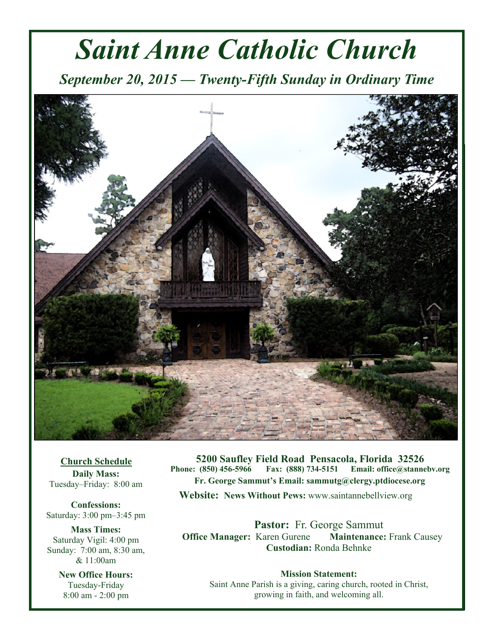# *Saint Anne Catholic Church*

*September 20, 2015 — Twenty-Fifth Sunday in Ordinary Time* 



**Church Schedule Daily Mass:**  Tuesday–Friday: 8:00 am

**Confessions:**  Saturday: 3:00 pm–3:45 pm

**Mass Times:**  Saturday Vigil: 4:00 pm Sunday: 7:00 am, 8:30 am, & 11:00am

> **New Office Hours:**  Tuesday-Friday 8:00 am - 2:00 pm

**5200 Saufley Field Road Pensacola, Florida 32526 Phone: (850) 456-5966 Fax: (888) 734-5151 Email: office@stannebv.org Fr. George Sammut's Email: sammutg@clergy.ptdiocese.org Website: News Without Pews:** www.saintannebellview.org

**Pastor:** Fr. George Sammut **Office Manager: Karen Gurene Maintenance: Frank Causey Custodian:** Ronda Behnke

**Mission Statement:** Saint Anne Parish is a giving, caring church, rooted in Christ, growing in faith, and welcoming all.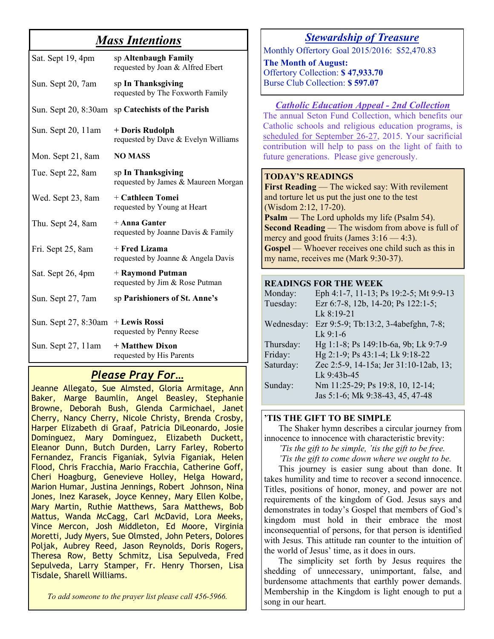## *Mass Intentions*

| Sat. Sept 19, 4pm    | sp Altenbaugh Family<br>requested by Joan & Alfred Ebert  |
|----------------------|-----------------------------------------------------------|
| Sun. Sept 20, 7am    | sp In Thanksgiving<br>requested by The Foxworth Family    |
| Sun. Sept 20, 8:30am | sp Catechists of the Parish                               |
| Sun. Sept 20, 11am   | + Doris Rudolph<br>requested by Dave & Evelyn Williams    |
| Mon. Sept 21, 8am    | <b>NO MASS</b>                                            |
| Tue. Sept 22, 8am    | sp In Thanksgiving<br>requested by James & Maureen Morgan |
| Wed. Sept 23, 8am    | + Cathleen Tomei<br>requested by Young at Heart           |
| Thu. Sept 24, 8am    | + Anna Ganter<br>requested by Joanne Davis & Family       |
| Fri. Sept 25, 8am    | + Fred Lizama<br>requested by Joanne & Angela Davis       |
| Sat. Sept 26, 4pm    | + Raymond Putman<br>requested by Jim & Rose Putman        |
| Sun. Sept 27, 7am    | sp Parishioners of St. Anne's                             |
| Sun. Sept 27, 8:30am | + Lewis Rossi<br>requested by Penny Reese                 |
| Sun. Sept 27, 11am   | + Matthew Dixon<br>requested by His Parents               |

## *Please Pray For…*

Jeanne Allegato, Sue Almsted, Gloria Armitage, Ann Baker, Marge Baumlin, Angel Beasley, Stephanie Browne, Deborah Bush, Glenda Carmichael, Janet Cherry, Nancy Cherry, Nicole Christy, Brenda Crosby, Harper Elizabeth di Graaf, Patricia DiLeonardo, Josie Dominguez, Mary Dominguez, Elizabeth Duckett, Eleanor Dunn, Butch Durden, Larry Farley, Roberto Fernandez, Francis Figaniak, Sylvia Figaniak, Helen Flood, Chris Fracchia, Mario Fracchia, Catherine Goff, Cheri Hoagburg, Genevieve Holley, Helga Howard, Marion Humar, Justina Jennings, Robert Johnson, Nina Jones, Inez Karasek, Joyce Kenney, Mary Ellen Kolbe, Mary Martin, Ruthie Matthews, Sara Matthews, Bob Mattus, Wanda McCagg, Carl McDavid, Lora Meeks, Vince Mercon, Josh Middleton, Ed Moore, Virginia Moretti, Judy Myers, Sue Olmsted, John Peters, Dolores Poljak, Aubrey Reed, Jason Reynolds, Doris Rogers, Theresa Row, Betty Schmitz, Lisa Sepulveda, Fred Sepulveda, Larry Stamper, Fr. Henry Thorsen, Lisa Tisdale, Sharell Williams.

*To add someone to the prayer list please call 456-5966.* 

### *Stewardship of Treasure*

Monthly Offertory Goal 2015/2016: \$52,470.83

**The Month of August:**  Offertory Collection: **\$ 47,933.70**  Burse Club Collection: **\$ 597.07** 

#### *Catholic Education Appeal - 2nd Collection*

The annual Seton Fund Collection, which benefits our Catholic schools and religious education programs, is scheduled for September 26-27, 2015. Your sacrificial contribution will help to pass on the light of faith to future generations. Please give generously.

#### **TODAY'S READINGS**

**First Reading** — The wicked say: With revilement and torture let us put the just one to the test (Wisdom 2:12, 17-20). **Psalm** — The Lord upholds my life (Psalm 54). **Second Reading** — The wisdom from above is full of mercy and good fruits (James  $3:16 - 4:3$ ). **Gospel** — Whoever receives one child such as this in my name, receives me (Mark 9:30-37).

#### **READINGS FOR THE WEEK**

| Eph 4:1-7, 11-13; Ps 19:2-5; Mt 9:9-13 |
|----------------------------------------|
| Ezr 6:7-8, 12b, 14-20; Ps 122:1-5;     |
| Lk 8:19-21                             |
| Ezr 9:5-9; Tb:13:2, 3-4abefghn, 7-8;   |
| $Lk$ 9:1-6                             |
| Hg 1:1-8; Ps 149:1b-6a, 9b; Lk 9:7-9   |
| Hg 2:1-9; Ps 43:1-4; Lk 9:18-22        |
| Zec 2:5-9, 14-15a; Jer 31:10-12ab, 13; |
| Lk 9:43b-45                            |
| Nm 11:25-29; Ps 19:8, 10, 12-14;       |
| Jas 5:1-6; Mk 9:38-43, 45, 47-48       |
|                                        |

#### **'TIS THE GIFT TO BE SIMPLE**

 The Shaker hymn describes a circular journey from innocence to innocence with characteristic brevity:

 *'Tis the gift to be simple, 'tis the gift to be free. 'Tis the gift to come down where we ought to be.*

 This journey is easier sung about than done. It takes humility and time to recover a second innocence. Titles, positions of honor, money, and power are not requirements of the kingdom of God. Jesus says and demonstrates in today's Gospel that members of God's kingdom must hold in their embrace the most inconsequential of persons, for that person is identified with Jesus. This attitude ran counter to the intuition of the world of Jesus' time, as it does in ours.

 The simplicity set forth by Jesus requires the shedding of unnecessary, unimportant, false, and burdensome attachments that earthly power demands. Membership in the Kingdom is light enough to put a song in our heart.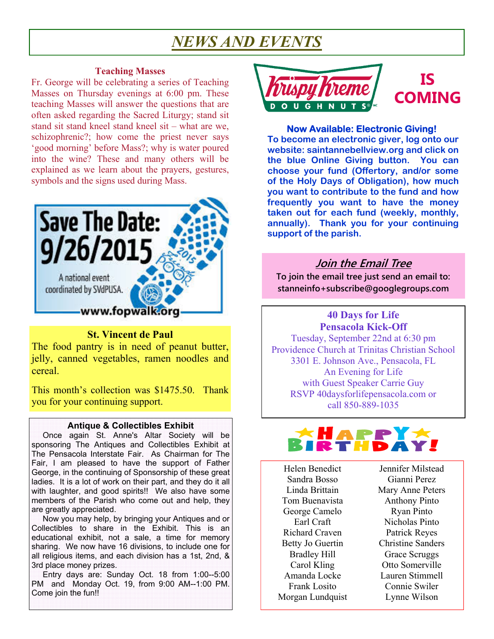## *NEWS AND EVENTS*

#### **Teaching Masses**

Fr. George will be celebrating a series of Teaching Masses on Thursday evenings at 6:00 pm. These teaching Masses will answer the questions that are often asked regarding the Sacred Liturgy; stand sit stand sit stand kneel stand kneel sit – what are we, schizophrenic?; how come the priest never says 'good morning' before Mass?; why is water poured into the wine? These and many others will be explained as we learn about the prayers, gestures, symbols and the signs used during Mass.



#### **St. Vincent de Paul**

The food pantry is in need of peanut butter, jelly, canned vegetables, ramen noodles and cereal.

This month's collection was \$1475.50. Thank you for your continuing support.

#### **Antique & Collectibles Exhibit**

 Once again St. Anne's Altar Society will be sponsoring The Antiques and Collectibles Exhibit at The Pensacola Interstate Fair. As Chairman for The Fair, I am pleased to have the support of Father George, in the continuing of Sponsorship of these great ladies. It is a lot of work on their part, and they do it all with laughter, and good spirits!! We also have some members of the Parish who come out and help, they are greatly appreciated.

 Now you may help, by bringing your Antiques and or Collectibles to share in the Exhibit. This is an educational exhibit, not a sale, a time for memory sharing. We now have 16 divisions, to include one for all religious items, and each division has a 1st, 2nd, & 3rd place money prizes.

 Entry days are: Sunday Oct. 18 from 1:00--5:00 PM and Monday Oct. 19, from 9:00 AM--1:00 PM. Come join the fun!!



#### **Now Available: Electronic Giving!**

**To become an electronic giver, log onto our website: saintannebellview.org and click on the blue Online Giving button. You can choose your fund (Offertory, and/or some of the Holy Days of Obligation), how much you want to contribute to the fund and how frequently you want to have the money taken out for each fund (weekly, monthly, annually). Thank you for your continuing support of the parish.** 

#### **Join the Email Tree**

**To join the email tree just send an email to: stanneinfo+subscribe@googlegroups.com** 

#### **40 Days for Life Pensacola Kick-Off**

Tuesday, September 22nd at 6:30 pm Providence Church at Trinitas Christian School 3301 E. Johnson Ave., Pensacola, FL An Evening for Life with Guest Speaker Carrie Guy RSVP 40daysforlifepensacola.com or call 850-889-1035



Helen Benedict Sandra Bosso Linda Brittain Tom Buenavista George Camelo Earl Craft Richard Craven Betty Jo Guertin Bradley Hill Carol Kling Amanda Locke Frank Losito Morgan Lundquist

Jennifer Milstead Gianni Perez Mary Anne Peters Anthony Pinto Ryan Pinto Nicholas Pinto Patrick Reyes Christine Sanders Grace Scruggs Otto Somerville Lauren Stimmell Connie Swiler Lynne Wilson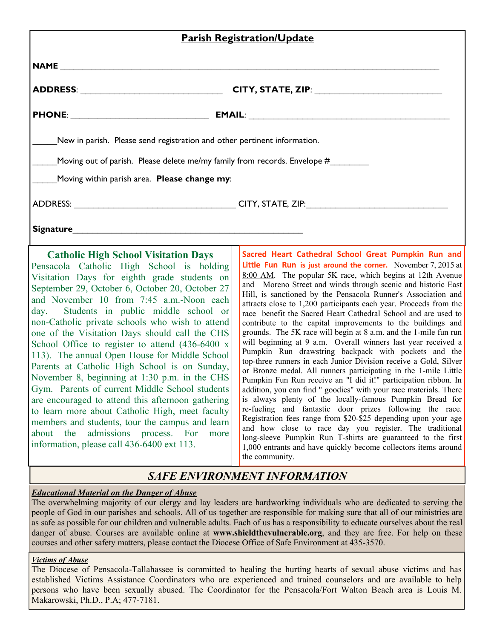|                                                                                                                                                                                                                                                                                                                                                                                                                                                                                                                                                                                                                                                                                                                                                                                                                                                                                                                 | <b>Parish Registration/Update</b>                                                                                                                                                                                                                                                                                                                                                                                                                                                                                                                                                                                                                                                                                                                                                                                                                                                                                                                                                                                                                                                                                                                                                                                                                                                                                                                                                                             |  |  |
|-----------------------------------------------------------------------------------------------------------------------------------------------------------------------------------------------------------------------------------------------------------------------------------------------------------------------------------------------------------------------------------------------------------------------------------------------------------------------------------------------------------------------------------------------------------------------------------------------------------------------------------------------------------------------------------------------------------------------------------------------------------------------------------------------------------------------------------------------------------------------------------------------------------------|---------------------------------------------------------------------------------------------------------------------------------------------------------------------------------------------------------------------------------------------------------------------------------------------------------------------------------------------------------------------------------------------------------------------------------------------------------------------------------------------------------------------------------------------------------------------------------------------------------------------------------------------------------------------------------------------------------------------------------------------------------------------------------------------------------------------------------------------------------------------------------------------------------------------------------------------------------------------------------------------------------------------------------------------------------------------------------------------------------------------------------------------------------------------------------------------------------------------------------------------------------------------------------------------------------------------------------------------------------------------------------------------------------------|--|--|
|                                                                                                                                                                                                                                                                                                                                                                                                                                                                                                                                                                                                                                                                                                                                                                                                                                                                                                                 |                                                                                                                                                                                                                                                                                                                                                                                                                                                                                                                                                                                                                                                                                                                                                                                                                                                                                                                                                                                                                                                                                                                                                                                                                                                                                                                                                                                                               |  |  |
|                                                                                                                                                                                                                                                                                                                                                                                                                                                                                                                                                                                                                                                                                                                                                                                                                                                                                                                 |                                                                                                                                                                                                                                                                                                                                                                                                                                                                                                                                                                                                                                                                                                                                                                                                                                                                                                                                                                                                                                                                                                                                                                                                                                                                                                                                                                                                               |  |  |
|                                                                                                                                                                                                                                                                                                                                                                                                                                                                                                                                                                                                                                                                                                                                                                                                                                                                                                                 |                                                                                                                                                                                                                                                                                                                                                                                                                                                                                                                                                                                                                                                                                                                                                                                                                                                                                                                                                                                                                                                                                                                                                                                                                                                                                                                                                                                                               |  |  |
| New in parish. Please send registration and other pertinent information.                                                                                                                                                                                                                                                                                                                                                                                                                                                                                                                                                                                                                                                                                                                                                                                                                                        |                                                                                                                                                                                                                                                                                                                                                                                                                                                                                                                                                                                                                                                                                                                                                                                                                                                                                                                                                                                                                                                                                                                                                                                                                                                                                                                                                                                                               |  |  |
| Moving out of parish. Please delete me/my family from records. Envelope #________                                                                                                                                                                                                                                                                                                                                                                                                                                                                                                                                                                                                                                                                                                                                                                                                                               |                                                                                                                                                                                                                                                                                                                                                                                                                                                                                                                                                                                                                                                                                                                                                                                                                                                                                                                                                                                                                                                                                                                                                                                                                                                                                                                                                                                                               |  |  |
| Moving within parish area. Please change my:                                                                                                                                                                                                                                                                                                                                                                                                                                                                                                                                                                                                                                                                                                                                                                                                                                                                    |                                                                                                                                                                                                                                                                                                                                                                                                                                                                                                                                                                                                                                                                                                                                                                                                                                                                                                                                                                                                                                                                                                                                                                                                                                                                                                                                                                                                               |  |  |
|                                                                                                                                                                                                                                                                                                                                                                                                                                                                                                                                                                                                                                                                                                                                                                                                                                                                                                                 |                                                                                                                                                                                                                                                                                                                                                                                                                                                                                                                                                                                                                                                                                                                                                                                                                                                                                                                                                                                                                                                                                                                                                                                                                                                                                                                                                                                                               |  |  |
|                                                                                                                                                                                                                                                                                                                                                                                                                                                                                                                                                                                                                                                                                                                                                                                                                                                                                                                 |                                                                                                                                                                                                                                                                                                                                                                                                                                                                                                                                                                                                                                                                                                                                                                                                                                                                                                                                                                                                                                                                                                                                                                                                                                                                                                                                                                                                               |  |  |
| <b>Catholic High School Visitation Days</b><br>Pensacola Catholic High School is holding<br>Visitation Days for eighth grade students on<br>September 29, October 6, October 20, October 27<br>and November 10 from 7:45 a.m.-Noon each<br>day. Students in public middle school or<br>non-Catholic private schools who wish to attend<br>one of the Visitation Days should call the CHS<br>School Office to register to attend (436-6400 x<br>113). The annual Open House for Middle School<br>Parents at Catholic High School is on Sunday,<br>November 8, beginning at 1:30 p.m. in the CHS<br>Gym. Parents of current Middle School students<br>are encouraged to attend this afternoon gathering<br>to learn more about Catholic High, meet faculty<br>members and students, tour the campus and learn<br>admissions process.<br>about<br>the<br>For<br>more<br>information, please call 436-6400 ext 113. | Sacred Heart Cathedral School Great Pumpkin Run and<br>Little Fun Run is just around the corner. November 7, 2015 at<br>8:00 AM. The popular 5K race, which begins at 12th Avenue<br>and Moreno Street and winds through scenic and historic East<br>Hill, is sanctioned by the Pensacola Runner's Association and<br>attracts close to 1,200 participants each year. Proceeds from the<br>race benefit the Sacred Heart Cathedral School and are used to<br>contribute to the capital improvements to the buildings and<br>grounds. The 5K race will begin at 8 a.m. and the 1-mile fun run<br>will beginning at 9 a.m. Overall winners last year received a<br>Pumpkin Run drawstring backpack with pockets and the<br>top-three runners in each Junior Division receive a Gold, Silver<br>or Bronze medal. All runners participating in the 1-mile Little<br>Pumpkin Fun Run receive an "I did it!" participation ribbon. In<br>addition, you can find " goodies" with your race materials. There<br>is always plenty of the locally-famous Pumpkin Bread for<br>re-fueling and fantastic door prizes following the race.<br>Registration fees range from \$20-\$25 depending upon your age<br>and how close to race day you register. The traditional<br>long-sleeve Pumpkin Run T-shirts are guaranteed to the first<br>1,000 entrants and have quickly become collectors items around<br>the community. |  |  |

## *SAFE ENVIRONMENT INFORMATION*

#### *Educational Material on the Danger of Abuse*

The overwhelming majority of our clergy and lay leaders are hardworking individuals who are dedicated to serving the people of God in our parishes and schools. All of us together are responsible for making sure that all of our ministries are as safe as possible for our children and vulnerable adults. Each of us has a responsibility to educate ourselves about the real danger of abuse. Courses are available online at **www.shieldthevulnerable.org**, and they are free. For help on these courses and other safety matters, please contact the Diocese Office of Safe Environment at 435-3570.

#### *Victims of Abuse*

The Diocese of Pensacola-Tallahassee is committed to healing the hurting hearts of sexual abuse victims and has established Victims Assistance Coordinators who are experienced and trained counselors and are available to help persons who have been sexually abused. The Coordinator for the Pensacola/Fort Walton Beach area is Louis M. Makarowski, Ph.D., P.A; 477-7181.